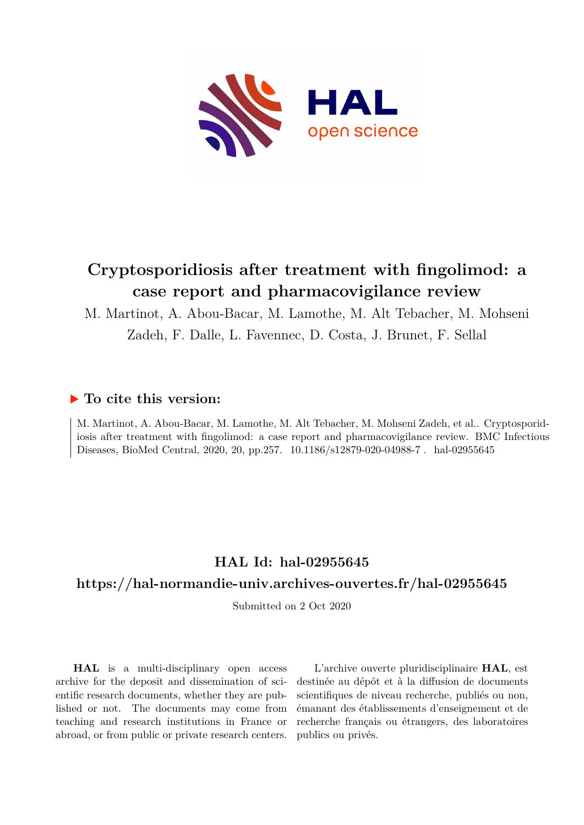

# **Cryptosporidiosis after treatment with fingolimod: a case report and pharmacovigilance review**

M. Martinot, A. Abou-Bacar, M. Lamothe, M. Alt Tebacher, M. Mohseni Zadeh, F. Dalle, L. Favennec, D. Costa, J. Brunet, F. Sellal

## **To cite this version:**

M. Martinot, A. Abou-Bacar, M. Lamothe, M. Alt Tebacher, M. Mohseni Zadeh, et al.. Cryptosporidiosis after treatment with fingolimod: a case report and pharmacovigilance review. BMC Infectious Diseases, BioMed Central, 2020, 20, pp.257. 10.1186/s12879-020-04988-7. hal-02955645

# **HAL Id: hal-02955645**

# **<https://hal-normandie-univ.archives-ouvertes.fr/hal-02955645>**

Submitted on 2 Oct 2020

**HAL** is a multi-disciplinary open access archive for the deposit and dissemination of scientific research documents, whether they are published or not. The documents may come from teaching and research institutions in France or abroad, or from public or private research centers.

L'archive ouverte pluridisciplinaire **HAL**, est destinée au dépôt et à la diffusion de documents scientifiques de niveau recherche, publiés ou non, émanant des établissements d'enseignement et de recherche français ou étrangers, des laboratoires publics ou privés.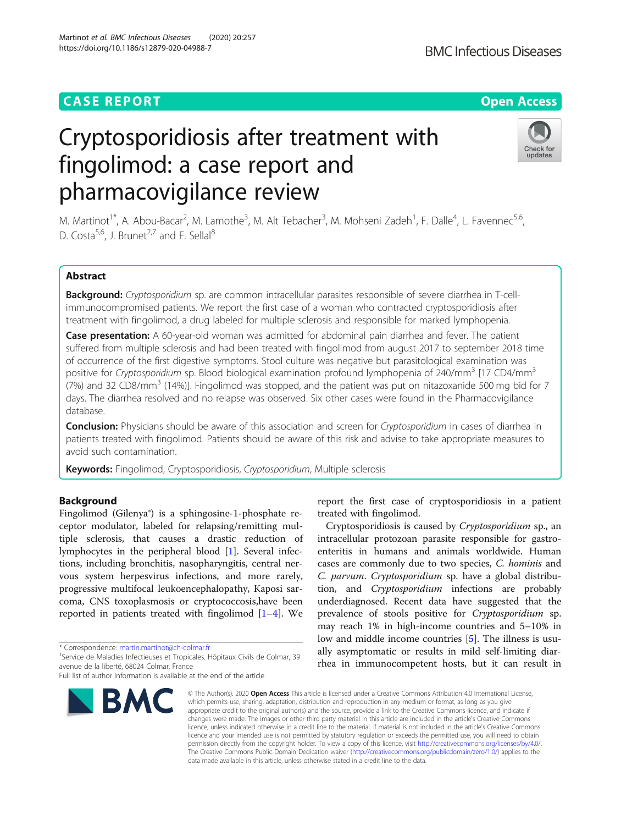## **CASE REPORT CASE ACCESS**

# Cryptosporidiosis after treatment with fingolimod: a case report and pharmacovigilance review

M. Martinot<sup>1\*</sup>, A. Abou-Bacar<sup>2</sup>, M. Lamothe<sup>3</sup>, M. Alt Tebacher<sup>3</sup>, M. Mohseni Zadeh<sup>1</sup>, F. Dalle<sup>4</sup>, L. Favennec<sup>5,6</sup>, D. Costa<sup>5,6</sup>, J. Brunet<sup>2,7</sup> and F. Sellal<sup>8</sup>

## Abstract

Background: Cryptosporidium sp. are common intracellular parasites responsible of severe diarrhea in T-cellimmunocompromised patients. We report the first case of a woman who contracted cryptosporidiosis after treatment with fingolimod, a drug labeled for multiple sclerosis and responsible for marked lymphopenia.

Case presentation: A 60-year-old woman was admitted for abdominal pain diarrhea and fever. The patient suffered from multiple sclerosis and had been treated with fingolimod from august 2017 to september 2018 time of occurrence of the first digestive symptoms. Stool culture was negative but parasitological examination was positive for Cryptosporidium sp. Blood biological examination profound lymphopenia of 240/mm<sup>3</sup> [17 CD4/mm<sup>3</sup> (7%) and 32 CD8/mm<sup>3</sup> (14%)]. Fingolimod was stopped, and the patient was put on nitazoxanide 500 mg bid for 7 days. The diarrhea resolved and no relapse was observed. Six other cases were found in the Pharmacovigilance database.

Conclusion: Physicians should be aware of this association and screen for Cryptosporidium in cases of diarrhea in patients treated with fingolimod. Patients should be aware of this risk and advise to take appropriate measures to avoid such contamination.

Keywords: Fingolimod, Cryptosporidiosis, Cryptosporidium, Multiple sclerosis

## Background

Fingolimod (Gilenya®) is a sphingosine-1-phosphate receptor modulator, labeled for relapsing/remitting multiple sclerosis, that causes a drastic reduction of lymphocytes in the peripheral blood [1]. Several infections, including bronchitis, nasopharyngitis, central nervous system herpesvirus infections, and more rarely, progressive multifocal leukoencephalopathy, Kaposi sarcoma, CNS toxoplasmosis or cryptococcosis,have been reported in patients treated with fingolimod [1–4]. We

\* Correspondence: [martin.martinot@ch-colmar.fr](mailto:martin.martinot@ch-colmar.fr) <sup>1</sup>



**RMC** 

report the first case of cryptosporidiosis in a patient treated with fingolimod.

Cryptosporidiosis is caused by Cryptosporidium sp., an intracellular protozoan parasite responsible for gastroenteritis in humans and animals worldwide. Human cases are commonly due to two species, C. hominis and C. parvum. Cryptosporidium sp. have a global distribution, and Cryptosporidium infections are probably underdiagnosed. Recent data have suggested that the prevalence of stools positive for Cryptosporidium sp. may reach 1% in high-income countries and 5–10% in low and middle income countries [5]. The illness is usually asymptomatic or results in mild self-limiting diarrhea in immunocompetent hosts, but it can result in

© The Author(s), 2020 **Open Access** This article is licensed under a Creative Commons Attribution 4.0 International License, which permits use, sharing, adaptation, distribution and reproduction in any medium or format, as long as you give appropriate credit to the original author(s) and the source, provide a link to the Creative Commons licence, and indicate if changes were made. The images or other third party material in this article are included in the article's Creative Commons licence, unless indicated otherwise in a credit line to the material. If material is not included in the article's Creative Commons licence and your intended use is not permitted by statutory regulation or exceeds the permitted use, you will need to obtain permission directly from the copyright holder. To view a copy of this licence, visit [http://creativecommons.org/licenses/by/4.0/.](http://creativecommons.org/licenses/by/4.0/) The Creative Commons Public Domain Dedication waiver [\(http://creativecommons.org/publicdomain/zero/1.0/](http://creativecommons.org/publicdomain/zero/1.0/)) applies to the data made available in this article, unless otherwise stated in a credit line to the data.





<sup>&</sup>lt;sup>1</sup> Service de Maladies Infectieuses et Tropicales. Hôpitaux Civils de Colmar, 39 avenue de la liberté, 68024 Colmar, France

Full list of author information is available at the end of the article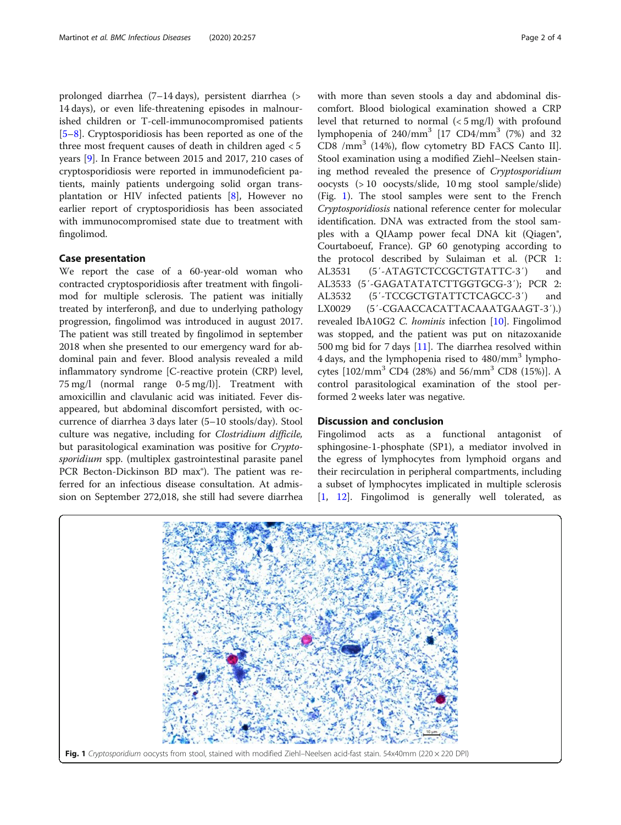prolonged diarrhea (7–14 days), persistent diarrhea (> 14 days), or even life-threatening episodes in malnourished children or T-cell-immunocompromised patients [5–8]. Cryptosporidiosis has been reported as one of the three most frequent causes of death in children aged < 5 years [9]. In France between 2015 and 2017, 210 cases of cryptosporidiosis were reported in immunodeficient patients, mainly patients undergoing solid organ transplantation or HIV infected patients [8], However no earlier report of cryptosporidiosis has been associated with immunocompromised state due to treatment with fingolimod.

#### Case presentation

We report the case of a 60-year-old woman who contracted cryptosporidiosis after treatment with fingolimod for multiple sclerosis. The patient was initially treated by interferonβ, and due to underlying pathology progression, fingolimod was introduced in august 2017. The patient was still treated by fingolimod in september 2018 when she presented to our emergency ward for abdominal pain and fever. Blood analysis revealed a mild inflammatory syndrome [C-reactive protein (CRP) level, 75 mg/l (normal range 0-5 mg/l)]. Treatment with amoxicillin and clavulanic acid was initiated. Fever disappeared, but abdominal discomfort persisted, with occurrence of diarrhea 3 days later (5–10 stools/day). Stool culture was negative, including for Clostridium difficile, but parasitological examination was positive for Cryptosporidium spp. (multiplex gastrointestinal parasite panel PCR Becton-Dickinson BD max®). The patient was referred for an infectious disease consultation. At admission on September 272,018, she still had severe diarrhea with more than seven stools a day and abdominal discomfort. Blood biological examination showed a CRP level that returned to normal  $(< 5 \text{ mg/l})$  with profound lymphopenia of  $240/\text{mm}^3$  [17 CD4/mm<sup>3</sup> (7%) and 32 CD8 /mm<sup>3</sup> (14%), flow cytometry BD FACS Canto II]. Stool examination using a modified Ziehl–Neelsen staining method revealed the presence of Cryptosporidium oocysts (> 10 oocysts/slide, 10 mg stool sample/slide) (Fig. 1). The stool samples were sent to the French Cryptosporidiosis national reference center for molecular identification. DNA was extracted from the stool samples with a QIAamp power fecal DNA kit (Qiagen®, Courtaboeuf, France). GP 60 genotyping according to the protocol described by Sulaiman et al. (PCR 1: AL3531 (5′-ATAGTCTCCGCTGTATTC-3′) and AL3533 (5′-GAGATATATCTTGGTGCG-3′); PCR 2: AL3532 (5′-TCCGCTGTATTCTCAGCC-3′) and LX0029 (5′-CGAACCACATTACAAATGAAGT-3′).) revealed IbA10G2 C. hominis infection [10]. Fingolimod was stopped, and the patient was put on nitazoxanide 500 mg bid for 7 days [11]. The diarrhea resolved within 4 days, and the lymphopenia rised to  $480/\text{mm}^3$  lymphocytes  $[102/mm^3$  CD4 (28%) and  $56/mm^3$  CD8 (15%)]. A control parasitological examination of the stool performed 2 weeks later was negative.

### Discussion and conclusion

Fingolimod acts as a functional antagonist of sphingosine-1-phosphate (SP1), a mediator involved in the egress of lymphocytes from lymphoid organs and their recirculation in peripheral compartments, including a subset of lymphocytes implicated in multiple sclerosis [1, 12]. Fingolimod is generally well tolerated, as

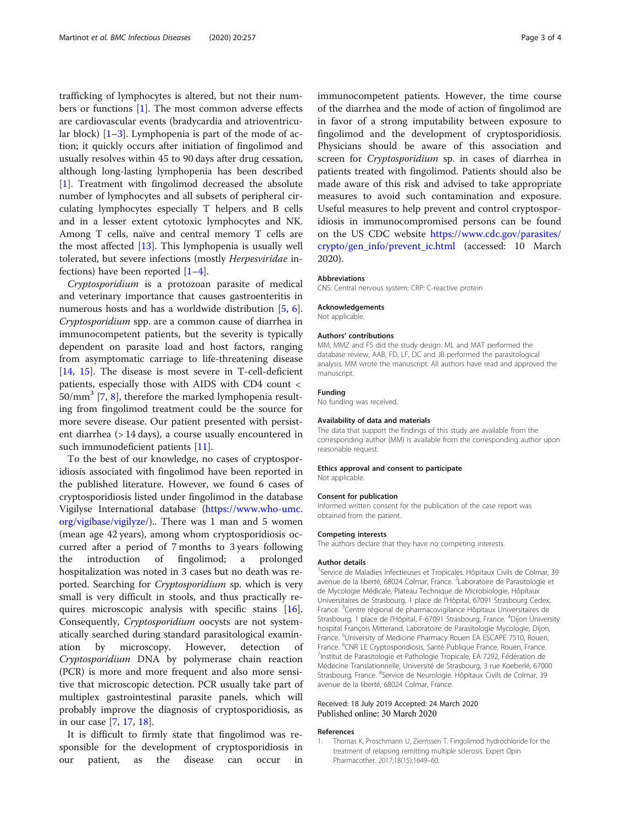trafficking of lymphocytes is altered, but not their numbers or functions [1]. The most common adverse effects are cardiovascular events (bradycardia and atrioventricular block)  $[1-3]$ . Lymphopenia is part of the mode of action; it quickly occurs after initiation of fingolimod and usually resolves within 45 to 90 days after drug cessation, although long-lasting lymphopenia has been described [1]. Treatment with fingolimod decreased the absolute number of lymphocytes and all subsets of peripheral circulating lymphocytes especially T helpers and B cells and in a lesser extent cytotoxic lymphocytes and NK. Among T cells, naïve and central memory T cells are the most affected [13]. This lymphopenia is usually well tolerated, but severe infections (mostly Herpesviridae infections) have been reported  $[1-4]$ .

Cryptosporidium is a protozoan parasite of medical and veterinary importance that causes gastroenteritis in numerous hosts and has a worldwide distribution [5, 6]. Cryptosporidium spp. are a common cause of diarrhea in immunocompetent patients, but the severity is typically dependent on parasite load and host factors, ranging from asymptomatic carriage to life-threatening disease [14, 15]. The disease is most severe in T-cell-deficient patients, especially those with AIDS with CD4 count <  $50/mm^3$  [7, 8], therefore the marked lymphopenia resulting from fingolimod treatment could be the source for more severe disease. Our patient presented with persistent diarrhea (> 14 days), a course usually encountered in such immunodeficient patients [11].

To the best of our knowledge, no cases of cryptosporidiosis associated with fingolimod have been reported in the published literature. However, we found 6 cases of cryptosporidiosis listed under fingolimod in the database Vigilyse International database ([https://www.who-umc.](https://www.who-umc.org/vigibase/vigilyze/) [org/vigibase/vigilyze/\)](https://www.who-umc.org/vigibase/vigilyze/).. There was 1 man and 5 women (mean age 42 years), among whom cryptosporidiosis occurred after a period of 7 months to 3 years following the introduction of fingolimod; a prolonged hospitalization was noted in 3 cases but no death was reported. Searching for Cryptosporidium sp. which is very small is very difficult in stools, and thus practically requires microscopic analysis with specific stains [16]. Consequently, Cryptosporidium oocysts are not systematically searched during standard parasitological examination by microscopy. However, detection of Cryptosporidium DNA by polymerase chain reaction (PCR) is more and more frequent and also more sensitive that microscopic detection. PCR usually take part of multiplex gastrointestinal parasite panels, which will probably improve the diagnosis of cryptosporidiosis, as in our case [7, 17, 18].

It is difficult to firmly state that fingolimod was responsible for the development of cryptosporidiosis in our patient, as the disease can occur in immunocompetent patients. However, the time course of the diarrhea and the mode of action of fingolimod are in favor of a strong imputability between exposure to fingolimod and the development of cryptosporidiosis. Physicians should be aware of this association and screen for Cryptosporidium sp. in cases of diarrhea in patients treated with fingolimod. Patients should also be made aware of this risk and advised to take appropriate measures to avoid such contamination and exposure. Useful measures to help prevent and control cryptosporidiosis in immunocompromised persons can be found on the US CDC website [https://www.cdc.gov/parasites/](https://www.cdc.gov/parasites/crypto/gen_info/prevent_ic.html) [crypto/gen\\_info/prevent\\_ic.html](https://www.cdc.gov/parasites/crypto/gen_info/prevent_ic.html) (accessed: 10 March 2020).

#### Abbreviations

CNS: Central nervous system; CRP: C-reactive protein

#### Acknowledgements

Not applicable.

#### Authors' contributions

MM, MMZ and FS did the study design. ML and MAT performed the database review, AAB, FD, LF, DC and JB performed the parasitological analysis. MM wrote the manuscript. All authors have read and approved the manuscript.

#### Funding

No funding was received.

#### Availability of data and materials

The data that support the findings of this study are available from the corresponding author (MM) is available from the corresponding author upon reasonable request.

#### Ethics approval and consent to participate

Not applicable.

#### Consent for publication

Informed written consent for the publication of the case report was obtained from the patient.

#### Competing interests

The authors declare that they have no competing interests.

#### Author details

<sup>1</sup>Service de Maladies Infectieuses et Tropicales. Hôpitaux Civils de Colmar, 39 avenue de la liberté, 68024 Colmar, France. <sup>2</sup>Laboratoire de Parasitologie et de Mycologie Médicale, Plateau Technique de Microbiologie, Hôpitaux Universitaires de Strasbourg, 1 place de l'Hôpital, 67091 Strasbourg Cedex, France.<sup>3</sup> Centre régional de pharmacovigilance Hôpitaux Universitaires de Strasbourg, 1 place de l'Hôpital, F-67091 Strasbourg, France. <sup>4</sup>Dijon University hospital François Mitterand, Laboratoire de Parasitologie Mycologie, Dijon, France. <sup>5</sup>University of Medicine Pharmacy Rouen EA ESCAPE 7510, Rouen, France. <sup>6</sup>CNR LE Cryptosporidiosis, Santé Publique France, Rouen, France <sup>7</sup>Institut de Parasitologie et Pathologie Tropicale, EA 7292, Fédération de Médecine Translationnelle, Université de Strasbourg, 3 rue Koeberlé, 67000 Strasbourg, France. <sup>8</sup>Service de Neurologie. Hôpitaux Civils de Colmar, 39 avenue de la liberté, 68024 Colmar, France.

#### Received: 18 July 2019 Accepted: 24 March 2020 Published online: 30 March 2020

#### References

Thomas K, Proschmann U, Ziemssen T. Fingolimod hydrochloride for the treatment of relapsing remitting multiple sclerosis. Expert Opin Pharmacother. 2017;18(15):1649–60.